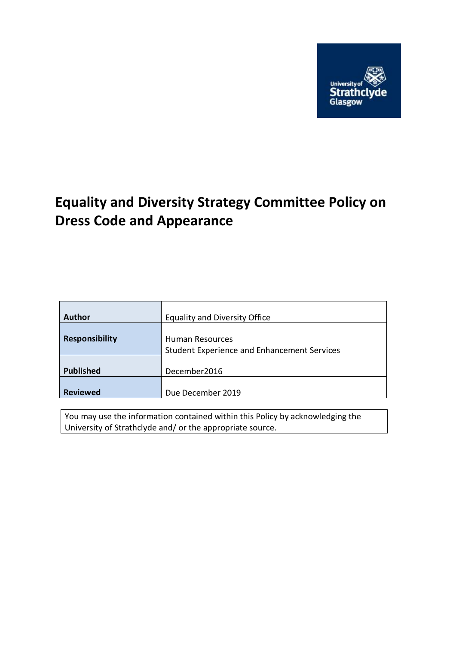

# **Equality and Diversity Strategy Committee Policy on Dress Code and Appearance**

| Author                | <b>Equality and Diversity Office</b>        |
|-----------------------|---------------------------------------------|
|                       |                                             |
| <b>Responsibility</b> | Human Resources                             |
|                       | Student Experience and Enhancement Services |
|                       |                                             |
| <b>Published</b>      | December2016                                |
|                       |                                             |
| <b>Reviewed</b>       | Due December 2019                           |

You may use the information contained within this Policy by acknowledging the University of Strathclyde and/ or the appropriate source.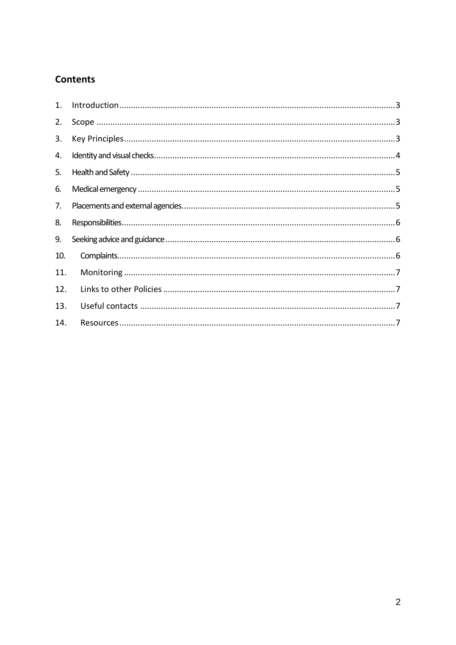# **Contents**

| 1.  |  |
|-----|--|
| 2.  |  |
| 3.  |  |
| 4.  |  |
| 5.  |  |
| 6.  |  |
| 7.  |  |
| 8.  |  |
| 9.  |  |
| 10. |  |
| 11. |  |
| 12. |  |
| 13. |  |
| 14. |  |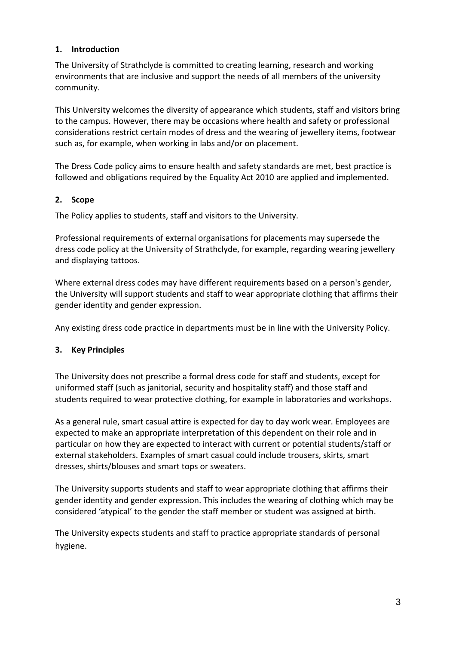# <span id="page-2-0"></span>**1. Introduction**

The University of Strathclyde is committed to creating learning, research and working environments that are inclusive and support the needs of all members of the university community.

This University welcomes the diversity of appearance which students, staff and visitors bring to the campus. However, there may be occasions where health and safety or professional considerations restrict certain modes of dress and the wearing of jewellery items, footwear such as, for example, when working in labs and/or on placement.

The Dress Code policy aims to ensure health and safety standards are met, best practice is followed and obligations required by the Equality Act 2010 are applied and implemented.

# <span id="page-2-1"></span>**2. Scope**

The Policy applies to students, staff and visitors to the University.

Professional requirements of external organisations for placements may supersede the dress code policy at the University of Strathclyde, for example, regarding wearing jewellery and displaying tattoos.

Where external dress codes may have different requirements based on a person's gender, the University will support students and staff to wear appropriate clothing that affirms their gender identity and gender expression.

Any existing dress code practice in departments must be in line with the University Policy.

#### <span id="page-2-2"></span>**3. Key Principles**

The University does not prescribe a formal dress code for staff and students, except for uniformed staff (such as janitorial, security and hospitality staff) and those staff and students required to wear protective clothing, for example in laboratories and workshops.

As a general rule, smart casual attire is expected for day to day work wear. Employees are expected to make an appropriate interpretation of this dependent on their role and in particular on how they are expected to interact with current or potential students/staff or external stakeholders. Examples of smart casual could include trousers, skirts, smart dresses, shirts/blouses and smart tops or sweaters.

The University supports students and staff to wear appropriate clothing that affirms their gender identity and gender expression. This includes the wearing of clothing which may be considered 'atypical' to the gender the staff member or student was assigned at birth.

The University expects students and staff to practice appropriate standards of personal hygiene.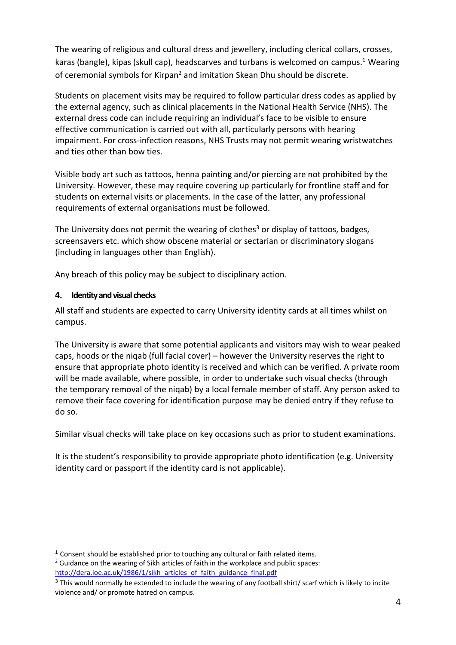The wearing of religious and cultural dress and jewellery, including clerical collars, crosses, karas (bangle), kipas (skull cap), headscarves and turbans is welcomed on campus.<sup>1</sup> Wearing of ceremonial symbols for Kirpan<sup>2</sup> and imitation Skean Dhu should be discrete.

Students on placement visits may be required to follow particular dress codes as applied by the external agency, such as clinical placements in the National Health Service (NHS). The external dress code can include requiring an individual's face to be visible to ensure effective communication is carried out with all, particularly persons with hearing impairment. For cross-infection reasons, NHS Trusts may not permit wearing wristwatches and ties other than bow ties.

Visible body art such as tattoos, henna painting and/or piercing are not prohibited by the University. However, these may require covering up particularly for frontline staff and for students on external visits or placements. In the case of the latter, any professional requirements of external organisations must be followed.

The University does not permit the wearing of clothes<sup>3</sup> or display of tattoos, badges, screensavers etc. which show obscene material or sectarian or discriminatory slogans (including in languages other than English).

Any breach of this policy may be subject to disciplinary action.

# <span id="page-3-0"></span>**4. Identity and visual checks**

All staff and students are expected to carry University identity cards at all times whilst on campus.

The University is aware that some potential applicants and visitors may wish to wear peaked caps, hoods or the niqab (full facial cover) – however the University reserves the right to ensure that appropriate photo identity is received and which can be verified. A private room will be made available, where possible, in order to undertake such visual checks (through the temporary removal of the niqab) by a local female member of staff. Any person asked to remove their face covering for identification purpose may be denied entry if they refuse to do so.

Similar visual checks will take place on key occasions such as prior to student examinations.

It is the student's responsibility to provide appropriate photo identification (e.g. University identity card or passport if the identity card is not applicable).

<sup>&</sup>lt;u>.</u> <sup>1</sup> Consent should be established prior to touching any cultural or faith related items. <sup>2</sup> Guidance on the wearing of Sikh articles of faith in the workplace and public spaces: [http://dera.ioe.ac.uk/1986/1/sikh\\_articles\\_of\\_faith\\_guidance\\_final.pdf](http://dera.ioe.ac.uk/1986/1/sikh_articles_of_faith_guidance_final.pdf)

<sup>&</sup>lt;sup>3</sup> This would normally be extended to include the wearing of any football shirt/ scarf which is likely to incite violence and/ or promote hatred on campus.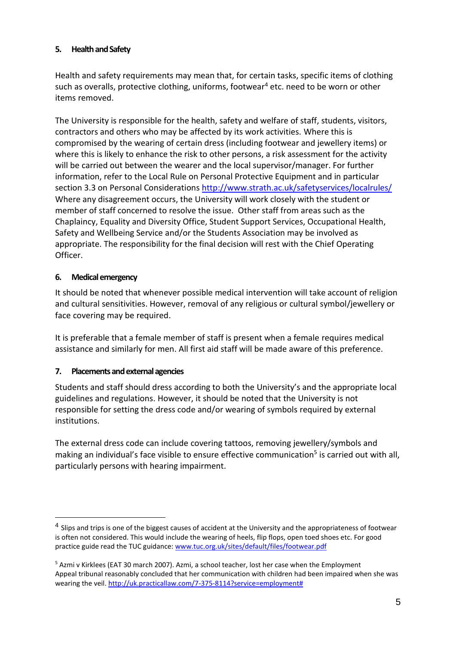# <span id="page-4-0"></span>**5. Health and Safety**

Health and safety requirements may mean that, for certain tasks, specific items of clothing such as overalls, protective clothing, uniforms, footwear<sup>4</sup> etc. need to be worn or other items removed.

The University is responsible for the health, safety and welfare of staff, students, visitors, contractors and others who may be affected by its work activities. Where this is compromised by the wearing of certain dress (including footwear and jewellery items) or where this is likely to enhance the risk to other persons, a risk assessment for the activity will be carried out between the wearer and the local supervisor/manager. For further information, refer to the Local Rule on Personal Protective Equipment and in particular section 3.3 on Personal Considerations<http://www.strath.ac.uk/safetyservices/localrules/> Where any disagreement occurs, the University will work closely with the student or member of staff concerned to resolve the issue. Other staff from areas such as the Chaplaincy, Equality and Diversity Office, Student Support Services, Occupational Health, Safety and Wellbeing Service and/or the Students Association may be involved as appropriate. The responsibility for the final decision will rest with the Chief Operating Officer.

#### <span id="page-4-1"></span>**6. Medical emergency**

1

It should be noted that whenever possible medical intervention will take account of religion and cultural sensitivities. However, removal of any religious or cultural symbol/jewellery or face covering may be required.

It is preferable that a female member of staff is present when a female requires medical assistance and similarly for men. All first aid staff will be made aware of this preference.

#### <span id="page-4-2"></span>**7. Placements and external agencies**

Students and staff should dress according to both the University's and the appropriate local guidelines and regulations. However, it should be noted that the University is not responsible for setting the dress code and/or wearing of symbols required by external institutions.

The external dress code can include covering tattoos, removing jewellery/symbols and making an individual's face visible to ensure effective communication<sup>5</sup> is carried out with all, particularly persons with hearing impairment.

<sup>&</sup>lt;sup>4</sup> Slips and trips is one of the biggest causes of accident at the University and the appropriateness of footwear is often not considered. This would include the wearing of heels, flip flops, open toed shoes etc. For good practice guide read the TUC guidance: [www.tuc.org.uk/sites/default/files/footwear.pdf](http://www.tuc.org.uk/sites/default/files/footwear.pdf)

<sup>5</sup> Azmi v Kirklees (EAT 30 march 2007). Azmi, a school teacher, lost her case when the Employment Appeal tribunal reasonably concluded that her communication with children had been impaired when she was wearing the veil[. http://uk.practicallaw.com/7-375-8114?service=employment#](http://uk.practicallaw.com/7-375-8114?service=employment)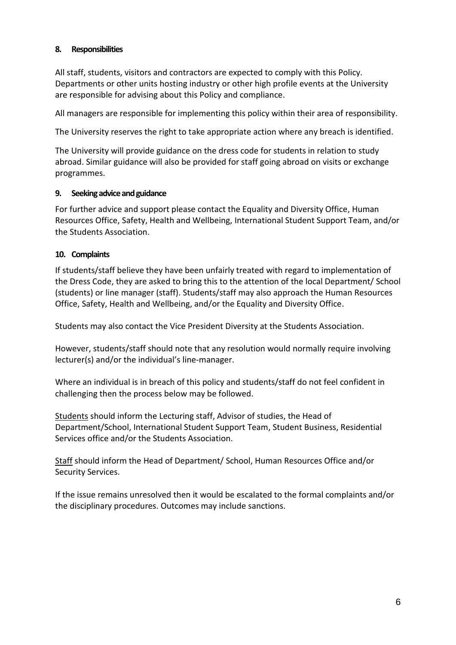#### <span id="page-5-0"></span>**8. Responsibilities**

All staff, students, visitors and contractors are expected to comply with this Policy. Departments or other units hosting industry or other high profile events at the University are responsible for advising about this Policy and compliance.

All managers are responsible for implementing this policy within their area of responsibility.

The University reserves the right to take appropriate action where any breach is identified.

The University will provide guidance on the dress code for students in relation to study abroad. Similar guidance will also be provided for staff going abroad on visits or exchange programmes.

#### <span id="page-5-1"></span>**9. Seeking advice and guidance**

For further advice and support please contact the Equality and Diversity Office, Human Resources Office, Safety, Health and Wellbeing, International Student Support Team, and/or the Students Association.

#### <span id="page-5-2"></span>**10. Complaints**

If students/staff believe they have been unfairly treated with regard to implementation of the Dress Code, they are asked to bring this to the attention of the local Department/ School (students) or line manager (staff). Students/staff may also approach the Human Resources Office, Safety, Health and Wellbeing, and/or the Equality and Diversity Office.

Students may also contact the Vice President Diversity at the Students Association.

However, students/staff should note that any resolution would normally require involving lecturer(s) and/or the individual's line-manager.

Where an individual is in breach of this policy and students/staff do not feel confident in challenging then the process below may be followed.

Students should inform the Lecturing staff, Advisor of studies, the Head of Department/School, International Student Support Team, Student Business, Residential Services office and/or the Students Association.

Staff should inform the Head of Department/ School, Human Resources Office and/or Security Services.

If the issue remains unresolved then it would be escalated to the formal complaints and/or the disciplinary procedures. Outcomes may include sanctions.